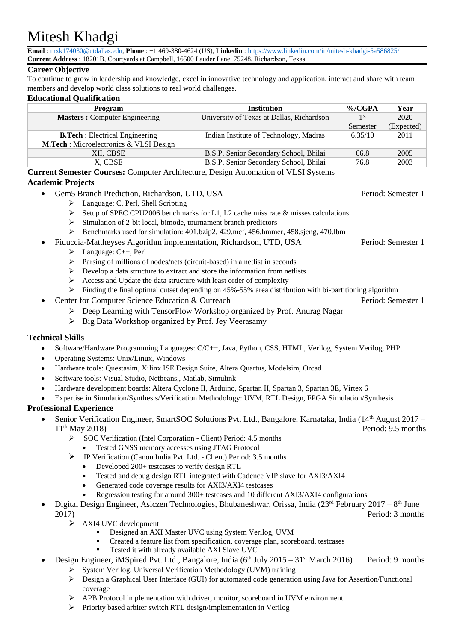# Mitesh Khadgi

**Email** : [mxk174030@utdallas.edu,](mailto:mxk174030@utdallas.edu) **Phone** : +1 469-380-4624 (US), **Linkedin** :<https://www.linkedin.com/in/mitesh-khadgi-5a586825/> **Current Address** : 18201B, Courtyards at Campbell, 16500 Lauder Lane, 75248, Richardson, Texas

## **Career Objective**

To continue to grow in leadership and knowledge, excel in innovative technology and application, interact and share with team members and develop world class solutions to real world challenges.

#### **Educational Qualification**

| Program                                                               | <b>Institution</b>                        | $\%$ /CGPA | Year       |  |
|-----------------------------------------------------------------------|-------------------------------------------|------------|------------|--|
| <b>Masters: Computer Engineering</b>                                  | University of Texas at Dallas, Richardson | 1 st       | 2020       |  |
|                                                                       |                                           | Semester   | (Expected) |  |
| <b>B.Tech</b> : Electrical Engineering                                | Indian Institute of Technology, Madras    | 6.35/10    | 2011       |  |
| M.Tech : Microelectronics & VLSI Design                               |                                           |            |            |  |
| XII, CBSE                                                             | B.S.P. Senior Secondary School, Bhilai    | 66.8       | 2005       |  |
| X, CBSE                                                               | B.S.P. Senior Secondary School, Bhilai    | 76.8       | 2003       |  |
| $\alpha$ is in $\alpha$ if it is $\alpha$ if $\alpha$ is the $\alpha$ |                                           |            |            |  |

**Current Semester Courses:** Computer Architecture, Design Automation of VLSI Systems **Academic Projects**

- Gem5 Branch Prediction, Richardson, UTD, USA Period: Semester 1
	- ➢ Language: C, Perl, Shell Scripting
	- ➢ Setup of SPEC CPU2006 benchmarks for L1, L2 cache miss rate & misses calculations
	- $\triangleright$  Simulation of 2-bit local, bimode, tournament branch predictors
	- ➢ Benchmarks used for simulation: 401.bzip2, 429.mcf, 456.hmmer, 458.sjeng, 470.lbm
	- Fiduccia-Mattheyses Algorithm implementation, Richardson, UTD, USA Period: Semester 1
		- ➢ Language: C++, Perl
		- ➢ Parsing of millions of nodes/nets (circuit-based) in a netlist in seconds
		- ➢ Develop a data structure to extract and store the information from netlists
		- $\triangleright$  Access and Update the data structure with least order of complexity
		- ➢ Finding the final optimal cutset depending on 45%-55% area distribution with bi-partitioning algorithm
- Center for Computer Science Education & Outreach Period: Semester 1
	- ➢ Deep Learning with TensorFlow Workshop organized by Prof. Anurag Nagar
	- ➢ Big Data Workshop organized by Prof. Jey Veerasamy

## **Technical Skills**

- Software/Hardware Programming Languages: C/C++, Java, Python, CSS, HTML, Verilog, System Verilog, PHP
- Operating Systems: Unix/Linux, Windows
- Hardware tools: Questasim, Xilinx ISE Design Suite, Altera Quartus, Modelsim, Orcad
- Software tools: Visual Studio, Netbeans,, Matlab, Simulink
- Hardware development boards: Altera Cyclone II, Arduino, Spartan II, Spartan 3, Spartan 3E, Virtex 6
- Expertise in Simulation/Synthesis/Verification Methodology: UVM, RTL Design, FPGA Simulation/Synthesis

## **Professional Experience**

- Senior Verification Engineer, SmartSOC Solutions Pvt. Ltd., Bangalore, Karnataka, India (14th August 2017 11<sup>th</sup> May 2018) Period: 9.5 months
	- ➢ SOC Verification (Intel Corporation Client) Period: 4.5 months
		- Tested GNSS memory accesses using JTAG Protocol
	- ➢ IP Verification (Canon India Pvt. Ltd. Client) Period: 3.5 months
		- Developed 200+ testcases to verify design RTL
		- Tested and debug design RTL integrated with Cadence VIP slave for AXI3/AXI4
		- Generated code coverage results for AXI3/AXI4 testcases
		- Regression testing for around 300+ testcases and 10 different AXI3/AXI4 configurations
- Digital Design Engineer, Asiczen Technologies, Bhubaneshwar, Orissa, India (23<sup>rd</sup> February 2017 8<sup>th</sup> June 2017) Period: 3 months
	- ➢ AXI4 UVC development
		- **•** Designed an AXI Master UVC using System Verilog, UVM
		- Created a feature list from specification, coverage plan, scoreboard, testcases
		- Tested it with already available AXI Slave UVC
- Design Engineer, iMSpired Pvt. Ltd., Bangalore, India  $(6<sup>th</sup>$  July 2015 31<sup>st</sup> March 2016) Period: 9 months
	- ➢ System Verilog, Universal Verification Methodology (UVM) training
	- ➢ Design a Graphical User Interface (GUI) for automated code generation using Java for Assertion/Functional coverage
	- ➢ APB Protocol implementation with driver, monitor, scoreboard in UVM environment
	- ➢ Priority based arbiter switch RTL design/implementation in Verilog